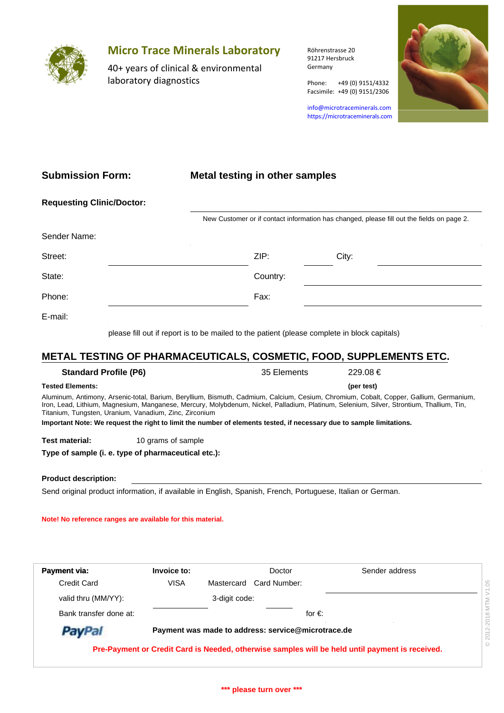

# **Micro Trace Minerals Laboratory**

40+ years of clinical & environmental laboratory diagnostics

Röhrenstrasse 20 91217 Hersbruck Germany

Phone: +49 (0) 9151/4332

info@microtraceminerals.com <https://microtraceminerals.com>

Facsimile: +49 (0) 9151/2306



## **Submission Form:**

### **Metal testing in other samples**

|              | New Customer or if contact information has changed, please fill out the fields on page 2. |  |  |  |  |
|--------------|-------------------------------------------------------------------------------------------|--|--|--|--|
| Sender Name: |                                                                                           |  |  |  |  |
| Street:      | ZIP:<br>City:                                                                             |  |  |  |  |
| State:       | Country:                                                                                  |  |  |  |  |
| Phone:       | Fax:                                                                                      |  |  |  |  |
| E-mail:      |                                                                                           |  |  |  |  |

please fill out if report is to be mailed to the patient (please complete in block capitals)

# **METAL TESTING OF PHARMACEUTICALS, COSMETIC, FOOD, SUPPLEMENTS ETC.**

#### **Standard Profile (P6)** 35 Elements 229.08 € **Tested Elements:** Aluminum, Antimony, Arsenic-total, Barium, Beryllium, Bismuth, Cadmium, Calcium, Cesium, Chromium, Cobalt, Copper, Gallium, Germanium, Iron, Lead, Lithium, Magnesium, Manganese, Mercury, Molybdenum, Nickel, Palladium, Platinum, Selenium, Silver, Strontium, Thallium, Tin, Titanium, Tungsten, Uranium, Vanadium, Zinc, Zirconium **Test material:** 10 grams of sample **Important Note: We request the right to limit the number of elements tested, if necessary due to sample limitations. (per test)**

**Type of sample (i. e. type of pharmaceutical etc.):**

### **Product description:**

Send original product information, if available in English, Spanish, French, Portuguese, Italian or German.

#### **Note! No reference ranges are available for this material.**

| Payment via:           | Invoice to: |               | Doctor                                             | Sender address                                                                                  |
|------------------------|-------------|---------------|----------------------------------------------------|-------------------------------------------------------------------------------------------------|
| Credit Card            | <b>VISA</b> |               | Mastercard Card Number:                            |                                                                                                 |
| valid thru (MM/YY):    |             | 3-digit code: |                                                    |                                                                                                 |
| Bank transfer done at: |             |               |                                                    | for $\in$                                                                                       |
| PayPal                 |             |               | Payment was made to address: service@microtrace.de |                                                                                                 |
|                        |             |               |                                                    | Pre-Payment or Credit Card is Needed, otherwise samples will be held until payment is received. |